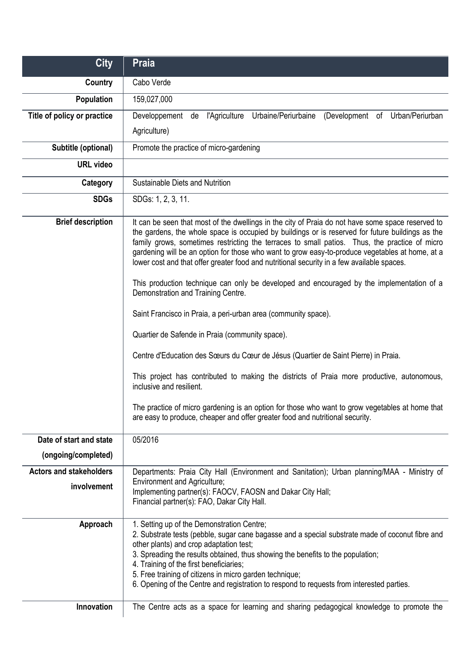| <b>City</b>                    | Praia                                                                                                                                                                                                                                                                                                                                                                                                                                                                                                                                                                                                                                                                                                                                                                                                                                                                                                                                                                                                                                                                                                                                                               |
|--------------------------------|---------------------------------------------------------------------------------------------------------------------------------------------------------------------------------------------------------------------------------------------------------------------------------------------------------------------------------------------------------------------------------------------------------------------------------------------------------------------------------------------------------------------------------------------------------------------------------------------------------------------------------------------------------------------------------------------------------------------------------------------------------------------------------------------------------------------------------------------------------------------------------------------------------------------------------------------------------------------------------------------------------------------------------------------------------------------------------------------------------------------------------------------------------------------|
| <b>Country</b>                 | Cabo Verde                                                                                                                                                                                                                                                                                                                                                                                                                                                                                                                                                                                                                                                                                                                                                                                                                                                                                                                                                                                                                                                                                                                                                          |
| Population                     | 159,027,000                                                                                                                                                                                                                                                                                                                                                                                                                                                                                                                                                                                                                                                                                                                                                                                                                                                                                                                                                                                                                                                                                                                                                         |
| Title of policy or practice    | Developpement de l'Agriculture<br>Urbaine/Periurbaine<br>(Development of Urban/Periurban                                                                                                                                                                                                                                                                                                                                                                                                                                                                                                                                                                                                                                                                                                                                                                                                                                                                                                                                                                                                                                                                            |
|                                | Agriculture)                                                                                                                                                                                                                                                                                                                                                                                                                                                                                                                                                                                                                                                                                                                                                                                                                                                                                                                                                                                                                                                                                                                                                        |
| Subtitle (optional)            | Promote the practice of micro-gardening                                                                                                                                                                                                                                                                                                                                                                                                                                                                                                                                                                                                                                                                                                                                                                                                                                                                                                                                                                                                                                                                                                                             |
| <b>URL</b> video               |                                                                                                                                                                                                                                                                                                                                                                                                                                                                                                                                                                                                                                                                                                                                                                                                                                                                                                                                                                                                                                                                                                                                                                     |
| Category                       | Sustainable Diets and Nutrition                                                                                                                                                                                                                                                                                                                                                                                                                                                                                                                                                                                                                                                                                                                                                                                                                                                                                                                                                                                                                                                                                                                                     |
| <b>SDGs</b>                    | SDGs: 1, 2, 3, 11.                                                                                                                                                                                                                                                                                                                                                                                                                                                                                                                                                                                                                                                                                                                                                                                                                                                                                                                                                                                                                                                                                                                                                  |
| <b>Brief description</b>       | It can be seen that most of the dwellings in the city of Praia do not have some space reserved to<br>the gardens, the whole space is occupied by buildings or is reserved for future buildings as the<br>family grows, sometimes restricting the terraces to small patios. Thus, the practice of micro<br>gardening will be an option for those who want to grow easy-to-produce vegetables at home, at a<br>lower cost and that offer greater food and nutritional security in a few available spaces.<br>This production technique can only be developed and encouraged by the implementation of a<br>Demonstration and Training Centre.<br>Saint Francisco in Praia, a peri-urban area (community space).<br>Quartier de Safende in Praia (community space).<br>Centre d'Education des Sœurs du Cœur de Jésus (Quartier de Saint Pierre) in Praia.<br>This project has contributed to making the districts of Praia more productive, autonomous,<br>inclusive and resilient.<br>The practice of micro gardening is an option for those who want to grow vegetables at home that<br>are easy to produce, cheaper and offer greater food and nutritional security. |
| Date of start and state        | 05/2016                                                                                                                                                                                                                                                                                                                                                                                                                                                                                                                                                                                                                                                                                                                                                                                                                                                                                                                                                                                                                                                                                                                                                             |
| (ongoing/completed)            |                                                                                                                                                                                                                                                                                                                                                                                                                                                                                                                                                                                                                                                                                                                                                                                                                                                                                                                                                                                                                                                                                                                                                                     |
| <b>Actors and stakeholders</b> | Departments: Praia City Hall (Environment and Sanitation); Urban planning/MAA - Ministry of                                                                                                                                                                                                                                                                                                                                                                                                                                                                                                                                                                                                                                                                                                                                                                                                                                                                                                                                                                                                                                                                         |
| involvement                    | <b>Environment and Agriculture;</b><br>Implementing partner(s): FAOCV, FAOSN and Dakar City Hall;<br>Financial partner(s): FAO, Dakar City Hall.                                                                                                                                                                                                                                                                                                                                                                                                                                                                                                                                                                                                                                                                                                                                                                                                                                                                                                                                                                                                                    |
| Approach                       | 1. Setting up of the Demonstration Centre;<br>2. Substrate tests (pebble, sugar cane bagasse and a special substrate made of coconut fibre and<br>other plants) and crop adaptation test;<br>3. Spreading the results obtained, thus showing the benefits to the population;<br>4. Training of the first beneficiaries;<br>5. Free training of citizens in micro garden technique;<br>6. Opening of the Centre and registration to respond to requests from interested parties.                                                                                                                                                                                                                                                                                                                                                                                                                                                                                                                                                                                                                                                                                     |
| Innovation                     | The Centre acts as a space for learning and sharing pedagogical knowledge to promote the                                                                                                                                                                                                                                                                                                                                                                                                                                                                                                                                                                                                                                                                                                                                                                                                                                                                                                                                                                                                                                                                            |